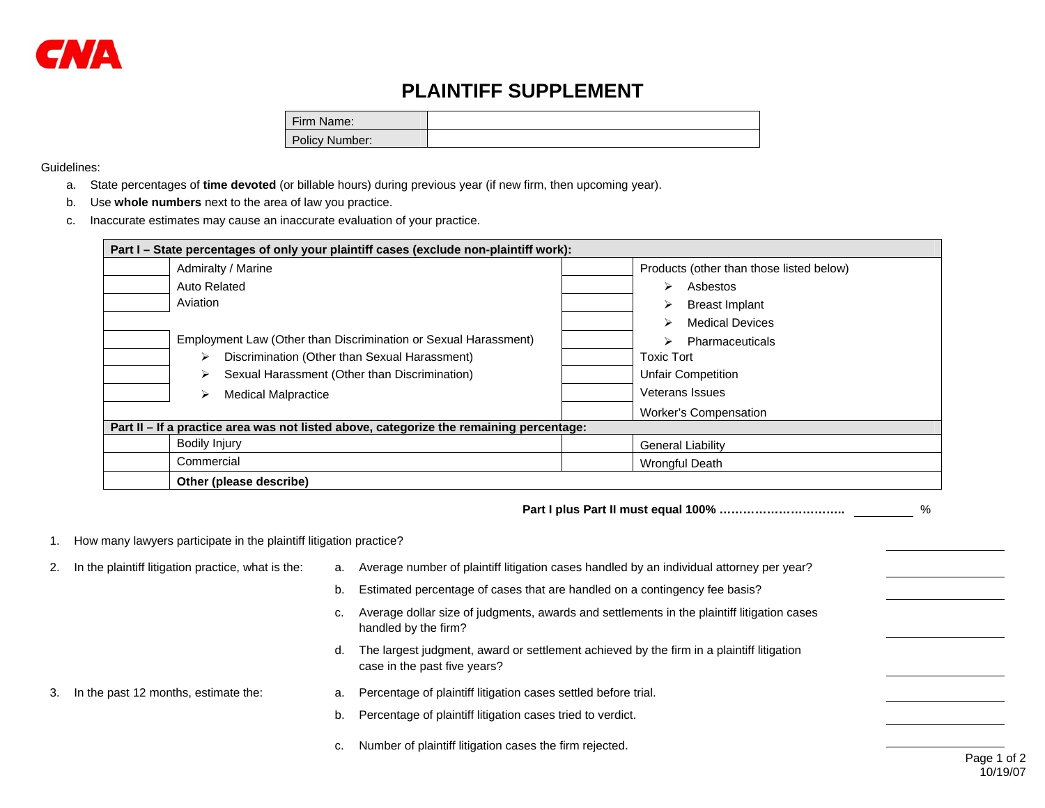## **PLAINTIFF SUPPLEMENT**

| Firm Name:     |  |
|----------------|--|
| Policy Number: |  |

## Guidelines:

- a. State percentages of **time devoted** (or billable hours) during previous year (if new firm, then upcoming year).
- b. Use **whole numbers** next to the area of law you practice.
- c. Inaccurate estimates may cause an inaccurate evaluation of your practice.

| Part I – State percentages of only your plaintiff cases (exclude non-plaintiff work):   |                                          |  |  |  |  |
|-----------------------------------------------------------------------------------------|------------------------------------------|--|--|--|--|
| Admiralty / Marine                                                                      | Products (other than those listed below) |  |  |  |  |
| Auto Related                                                                            | Asbestos<br>↘                            |  |  |  |  |
| Aviation                                                                                | <b>Breast Implant</b>                    |  |  |  |  |
|                                                                                         | <b>Medical Devices</b>                   |  |  |  |  |
| Employment Law (Other than Discrimination or Sexual Harassment)                         | Pharmaceuticals<br>↘                     |  |  |  |  |
| Discrimination (Other than Sexual Harassment)<br>➤                                      | <b>Toxic Tort</b>                        |  |  |  |  |
| Sexual Harassment (Other than Discrimination)<br>➤                                      | <b>Unfair Competition</b>                |  |  |  |  |
| <b>Medical Malpractice</b><br>⋗                                                         | Veterans Issues                          |  |  |  |  |
|                                                                                         | <b>Worker's Compensation</b>             |  |  |  |  |
| Part II – If a practice area was not listed above, categorize the remaining percentage: |                                          |  |  |  |  |
| <b>Bodily Injury</b>                                                                    | <b>General Liability</b>                 |  |  |  |  |
| Commercial                                                                              | <b>Wrongful Death</b>                    |  |  |  |  |
| Other (please describe)                                                                 |                                          |  |  |  |  |

**Part I plus Part II must equal 100% …………………………..** %

## 1. How many lawyers participate in the plaintiff litigation practice?

Page 1 of 2 10/19/072. In the plaintiff litigation practice, what is the: a. Average number of plaintiff litigation cases handled by an individual attorney per year? b. Estimated percentage of cases that are handled on a contingency fee basis? c. Average dollar size of judgments, awards and settlements in the plaintiff litigation cases handled by the firm? d. The largest judgment, award or settlement achieved by the firm in a plaintiff litigation case in the past five years? 3. In the past 12 months, estimate the: a. Percentage of plaintiff litigation cases settled before trial. b. Percentage of plaintiff litigation cases tried to verdict. c. Number of plaintiff litigation cases the firm rejected.